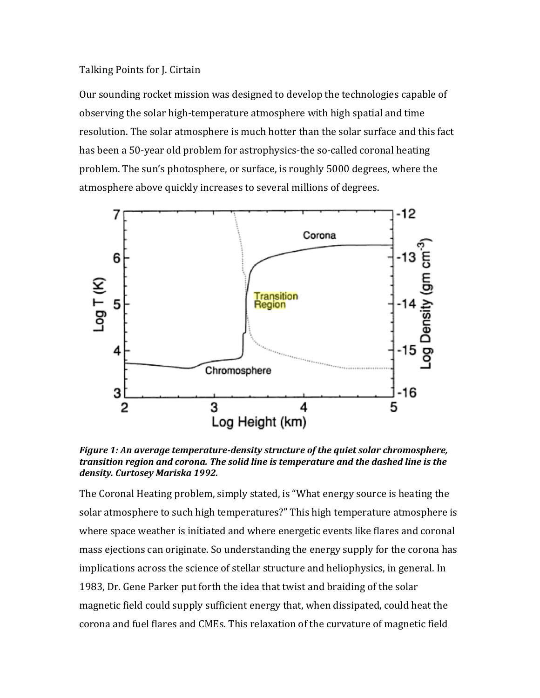## Talking Points for J. Cirtain

Our sounding rocket mission was designed to develop the technologies capable of observing the solar high-temperature atmosphere with high spatial and time resolution. The solar atmosphere is much hotter than the solar surface and this fact has been a 50-year old problem for astrophysics-the so-called coronal heating problem. The sun's photosphere, or surface, is roughly 5000 degrees, where the atmosphere above quickly increases to several millions of degrees.



*Figure 1: An average temperature-density structure of the quiet solar chromosphere, transition region and corona. The solid line is temperature and the dashed line is the density. Curtosey Mariska 1992.*

The Coronal Heating problem, simply stated, is "What energy source is heating the solar atmosphere to such high temperatures?" This high temperature atmosphere is where space weather is initiated and where energetic events like flares and coronal mass ejections can originate. So understanding the energy supply for the corona has implications across the science of stellar structure and heliophysics, in general. In 1983, Dr. Gene Parker put forth the idea that twist and braiding of the solar magnetic field could supply sufficient energy that, when dissipated, could heat the corona and fuel flares and CMEs. This relaxation of the curvature of magnetic field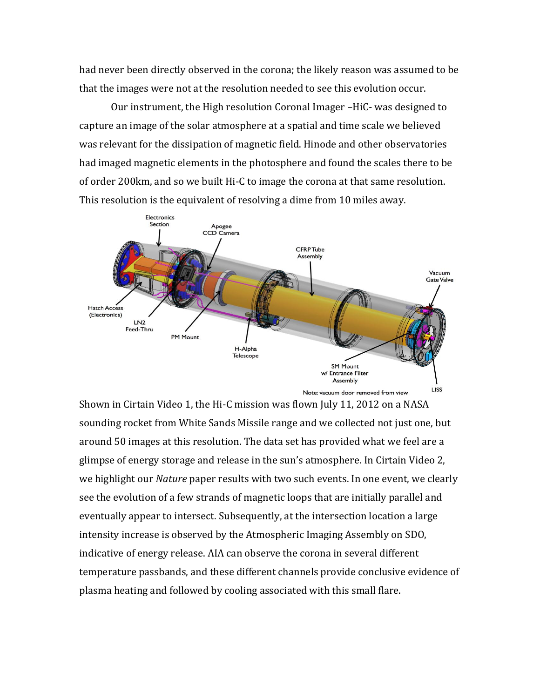had never been directly observed in the corona; the likely reason was assumed to be that the images were not at the resolution needed to see this evolution occur.

Our instrument, the High resolution Coronal Imager –HiC- was designed to capture an image of the solar atmosphere at a spatial and time scale we believed was relevant for the dissipation of magnetic field. Hinode and other observatories had imaged magnetic elements in the photosphere and found the scales there to be of order 200km, and so we built Hi-C to image the corona at that same resolution. This resolution is the equivalent of resolving a dime from 10 miles away.



Note: vacuum door removed from view

Shown in Cirtain Video 1, the Hi-C mission was flown July 11, 2012 on a NASA sounding rocket from White Sands Missile range and we collected not just one, but around 50 images at this resolution. The data set has provided what we feel are a glimpse of energy storage and release in the sun's atmosphere. In Cirtain Video 2, we highlight our *Nature* paper results with two such events. In one event, we clearly see the evolution of a few strands of magnetic loops that are initially parallel and eventually appear to intersect. Subsequently, at the intersection location a large intensity increase is observed by the Atmospheric Imaging Assembly on SDO, indicative of energy release. AIA can observe the corona in several different temperature passbands, and these different channels provide conclusive evidence of plasma heating and followed by cooling associated with this small flare.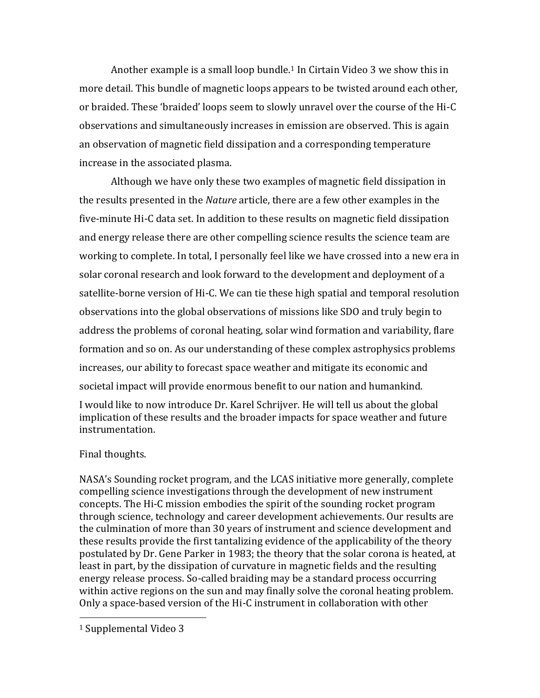Another example is a small loop bundle.<sup>1</sup> In Cirtain Video 3 we show this in more detail. This bundle of magnetic loops appears to be twisted around each other, or braided. These 'braided' loops seem to slowly unravel over the course of the Hi-C observations and simultaneously increases in emission are observed. This is again an observation of magnetic field dissipation and a corresponding temperature increase in the associated plasma.

Although we have only these two examples of magnetic field dissipation in the results presented in the *Nature* article, there are a few other examples in the five-minute Hi-C data set. In addition to these results on magnetic field dissipation and energy release there are other compelling science results the science team are working to complete. In total, I personally feel like we have crossed into a new era in solar coronal research and look forward to the development and deployment of a satellite-borne version of Hi-C. We can tie these high spatial and temporal resolution observations into the global observations of missions like SDO and truly begin to address the problems of coronal heating, solar wind formation and variability, flare formation and so on. As our understanding of these complex astrophysics problems increases, our ability to forecast space weather and mitigate its economic and societal impact will provide enormous benefit to our nation and humankind.

I would like to now introduce Dr. Karel Schrijver. He will tell us about the global implication of these results and the broader impacts for space weather and future instrumentation.

## Final thoughts.

NASA's Sounding rocket program, and the LCAS initiative more generally, complete compelling science investigations through the development of new instrument concepts. The Hi-C mission embodies the spirit of the sounding rocket program through science, technology and career development achievements. Our results are the culmination of more than 30 years of instrument and science development and these results provide the first tantalizing evidence of the applicability of the theory postulated by Dr. Gene Parker in 1983; the theory that the solar corona is heated, at least in part, by the dissipation of curvature in magnetic fields and the resulting energy release process. So-called braiding may be a standard process occurring within active regions on the sun and may finally solve the coronal heating problem. Only a space-based version of the Hi-C instrument in collaboration with other

l

<sup>1</sup> Supplemental Video 3